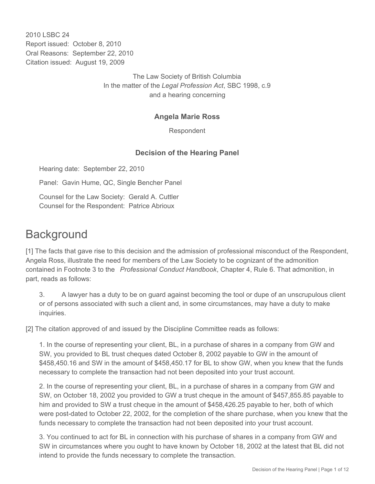2010 LSBC 24 Report issued: October 8, 2010 Oral Reasons: September 22, 2010 Citation issued: August 19, 2009

> The Law Society of British Columbia In the matter of the *Legal Profession Act*, SBC 1998, c.9 and a hearing concerning

## **Angela Marie Ross**

Respondent

## **Decision of the Hearing Panel**

Hearing date: September 22, 2010

Panel: Gavin Hume, QC, Single Bencher Panel

Counsel for the Law Society: Gerald A. Cuttler Counsel for the Respondent: Patrice Abrioux

# **Background**

[1] The facts that gave rise to this decision and the admission of professional misconduct of the Respondent, Angela Ross, illustrate the need for members of the Law Society to be cognizant of the admonition contained in Footnote 3 to the *Professional Conduct Handbook*, Chapter 4, Rule 6. That admonition, in part, reads as follows:

3. A lawyer has a duty to be on guard against becoming the tool or dupe of an unscrupulous client or of persons associated with such a client and, in some circumstances, may have a duty to make inquiries.

[2] The citation approved of and issued by the Discipline Committee reads as follows:

1. In the course of representing your client, BL, in a purchase of shares in a company from GW and SW, you provided to BL trust cheques dated October 8, 2002 payable to GW in the amount of \$458,450.16 and SW in the amount of \$458,450.17 for BL to show GW, when you knew that the funds necessary to complete the transaction had not been deposited into your trust account.

2. In the course of representing your client, BL, in a purchase of shares in a company from GW and SW, on October 18, 2002 you provided to GW a trust cheque in the amount of \$457,855.85 payable to him and provided to SW a trust cheque in the amount of \$458,426.25 payable to her, both of which were post-dated to October 22, 2002, for the completion of the share purchase, when you knew that the funds necessary to complete the transaction had not been deposited into your trust account.

3. You continued to act for BL in connection with his purchase of shares in a company from GW and SW in circumstances where you ought to have known by October 18, 2002 at the latest that BL did not intend to provide the funds necessary to complete the transaction.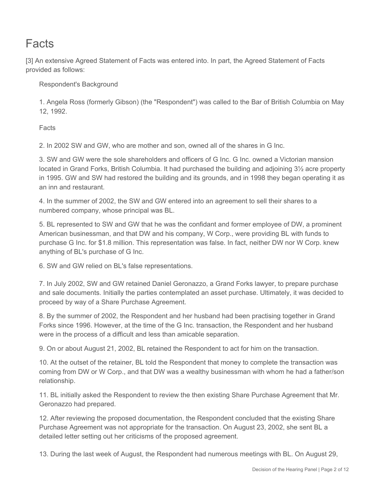# **Facts**

[3] An extensive Agreed Statement of Facts was entered into. In part, the Agreed Statement of Facts provided as follows:

Respondent's Background

1. Angela Ross (formerly Gibson) (the "Respondent") was called to the Bar of British Columbia on May 12, 1992.

**Facts** 

2. In 2002 SW and GW, who are mother and son, owned all of the shares in G Inc.

3. SW and GW were the sole shareholders and officers of G Inc. G Inc. owned a Victorian mansion located in Grand Forks, British Columbia. It had purchased the building and adjoining 3½ acre property in 1995. GW and SW had restored the building and its grounds, and in 1998 they began operating it as an inn and restaurant.

4. In the summer of 2002, the SW and GW entered into an agreement to sell their shares to a numbered company, whose principal was BL.

5. BL represented to SW and GW that he was the confidant and former employee of DW, a prominent American businessman, and that DW and his company, W Corp., were providing BL with funds to purchase G Inc. for \$1.8 million. This representation was false. In fact, neither DW nor W Corp. knew anything of BL's purchase of G Inc.

6. SW and GW relied on BL's false representations.

7. In July 2002, SW and GW retained Daniel Geronazzo, a Grand Forks lawyer, to prepare purchase and sale documents. Initially the parties contemplated an asset purchase. Ultimately, it was decided to proceed by way of a Share Purchase Agreement.

8. By the summer of 2002, the Respondent and her husband had been practising together in Grand Forks since 1996. However, at the time of the G Inc. transaction, the Respondent and her husband were in the process of a difficult and less than amicable separation.

9. On or about August 21, 2002, BL retained the Respondent to act for him on the transaction.

10. At the outset of the retainer, BL told the Respondent that money to complete the transaction was coming from DW or W Corp., and that DW was a wealthy businessman with whom he had a father/son relationship.

11. BL initially asked the Respondent to review the then existing Share Purchase Agreement that Mr. Geronazzo had prepared.

12. After reviewing the proposed documentation, the Respondent concluded that the existing Share Purchase Agreement was not appropriate for the transaction. On August 23, 2002, she sent BL a detailed letter setting out her criticisms of the proposed agreement.

13. During the last week of August, the Respondent had numerous meetings with BL. On August 29,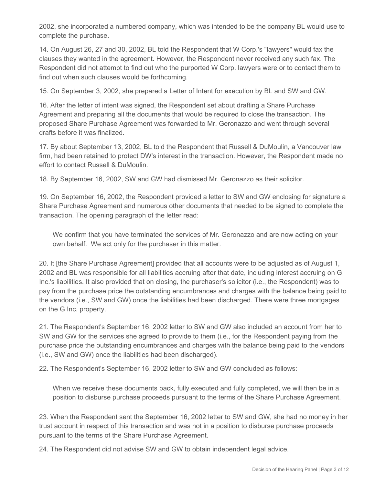2002, she incorporated a numbered company, which was intended to be the company BL would use to complete the purchase.

14. On August 26, 27 and 30, 2002, BL told the Respondent that W Corp.'s "lawyers" would fax the clauses they wanted in the agreement. However, the Respondent never received any such fax. The Respondent did not attempt to find out who the purported W Corp. lawyers were or to contact them to find out when such clauses would be forthcoming.

15. On September 3, 2002, she prepared a Letter of Intent for execution by BL and SW and GW.

16. After the letter of intent was signed, the Respondent set about drafting a Share Purchase Agreement and preparing all the documents that would be required to close the transaction. The proposed Share Purchase Agreement was forwarded to Mr. Geronazzo and went through several drafts before it was finalized.

17. By about September 13, 2002, BL told the Respondent that Russell & DuMoulin, a Vancouver law firm, had been retained to protect DW's interest in the transaction. However, the Respondent made no effort to contact Russell & DuMoulin.

18. By September 16, 2002, SW and GW had dismissed Mr. Geronazzo as their solicitor.

19. On September 16, 2002, the Respondent provided a letter to SW and GW enclosing for signature a Share Purchase Agreement and numerous other documents that needed to be signed to complete the transaction. The opening paragraph of the letter read:

We confirm that you have terminated the services of Mr. Geronazzo and are now acting on your own behalf. We act only for the purchaser in this matter.

20. It [the Share Purchase Agreement] provided that all accounts were to be adjusted as of August 1, 2002 and BL was responsible for all liabilities accruing after that date, including interest accruing on G Inc.'s liabilities. It also provided that on closing, the purchaser's solicitor (i.e., the Respondent) was to pay from the purchase price the outstanding encumbrances and charges with the balance being paid to the vendors (i.e., SW and GW) once the liabilities had been discharged. There were three mortgages on the G Inc. property.

21. The Respondent's September 16, 2002 letter to SW and GW also included an account from her to SW and GW for the services she agreed to provide to them (i.e., for the Respondent paying from the purchase price the outstanding encumbrances and charges with the balance being paid to the vendors (i.e., SW and GW) once the liabilities had been discharged).

22. The Respondent's September 16, 2002 letter to SW and GW concluded as follows:

When we receive these documents back, fully executed and fully completed, we will then be in a position to disburse purchase proceeds pursuant to the terms of the Share Purchase Agreement.

23. When the Respondent sent the September 16, 2002 letter to SW and GW, she had no money in her trust account in respect of this transaction and was not in a position to disburse purchase proceeds pursuant to the terms of the Share Purchase Agreement.

24. The Respondent did not advise SW and GW to obtain independent legal advice.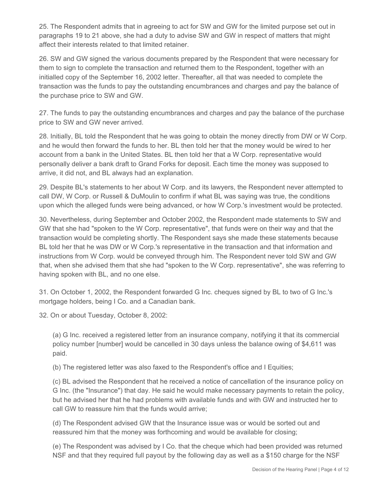25. The Respondent admits that in agreeing to act for SW and GW for the limited purpose set out in paragraphs 19 to 21 above, she had a duty to advise SW and GW in respect of matters that might affect their interests related to that limited retainer.

26. SW and GW signed the various documents prepared by the Respondent that were necessary for them to sign to complete the transaction and returned them to the Respondent, together with an initialled copy of the September 16, 2002 letter. Thereafter, all that was needed to complete the transaction was the funds to pay the outstanding encumbrances and charges and pay the balance of the purchase price to SW and GW.

27. The funds to pay the outstanding encumbrances and charges and pay the balance of the purchase price to SW and GW never arrived.

28. Initially, BL told the Respondent that he was going to obtain the money directly from DW or W Corp. and he would then forward the funds to her. BL then told her that the money would be wired to her account from a bank in the United States. BL then told her that a W Corp. representative would personally deliver a bank draft to Grand Forks for deposit. Each time the money was supposed to arrive, it did not, and BL always had an explanation.

29. Despite BL's statements to her about W Corp. and its lawyers, the Respondent never attempted to call DW, W Corp. or Russell & DuMoulin to confirm if what BL was saying was true, the conditions upon which the alleged funds were being advanced, or how W Corp.'s investment would be protected.

30. Nevertheless, during September and October 2002, the Respondent made statements to SW and GW that she had "spoken to the W Corp. representative", that funds were on their way and that the transaction would be completing shortly. The Respondent says she made these statements because BL told her that he was DW or W Corp.'s representative in the transaction and that information and instructions from W Corp. would be conveyed through him. The Respondent never told SW and GW that, when she advised them that she had "spoken to the W Corp. representative", she was referring to having spoken with BL, and no one else.

31. On October 1, 2002, the Respondent forwarded G Inc. cheques signed by BL to two of G Inc.'s mortgage holders, being I Co. and a Canadian bank.

32. On or about Tuesday, October 8, 2002:

(a) G Inc. received a registered letter from an insurance company, notifying it that its commercial policy number [number] would be cancelled in 30 days unless the balance owing of \$4,611 was paid.

(b) The registered letter was also faxed to the Respondent's office and I Equities;

(c) BL advised the Respondent that he received a notice of cancellation of the insurance policy on G Inc. (the "Insurance") that day. He said he would make necessary payments to retain the policy, but he advised her that he had problems with available funds and with GW and instructed her to call GW to reassure him that the funds would arrive;

(d) The Respondent advised GW that the Insurance issue was or would be sorted out and reassured him that the money was forthcoming and would be available for closing;

(e) The Respondent was advised by I Co. that the cheque which had been provided was returned NSF and that they required full payout by the following day as well as a \$150 charge for the NSF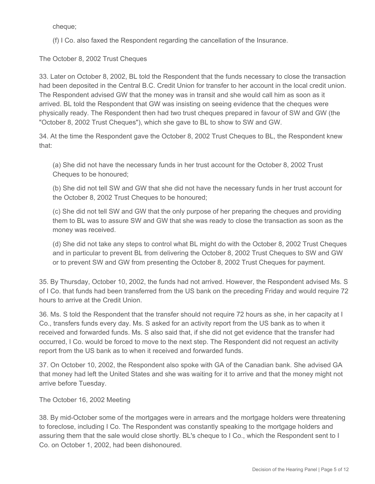cheque;

(f) I Co. also faxed the Respondent regarding the cancellation of the Insurance.

The October 8, 2002 Trust Cheques

33. Later on October 8, 2002, BL told the Respondent that the funds necessary to close the transaction had been deposited in the Central B.C. Credit Union for transfer to her account in the local credit union. The Respondent advised GW that the money was in transit and she would call him as soon as it arrived. BL told the Respondent that GW was insisting on seeing evidence that the cheques were physically ready. The Respondent then had two trust cheques prepared in favour of SW and GW (the "October 8, 2002 Trust Cheques"), which she gave to BL to show to SW and GW.

34. At the time the Respondent gave the October 8, 2002 Trust Cheques to BL, the Respondent knew that:

(a) She did not have the necessary funds in her trust account for the October 8, 2002 Trust Cheques to be honoured;

(b) She did not tell SW and GW that she did not have the necessary funds in her trust account for the October 8, 2002 Trust Cheques to be honoured;

(c) She did not tell SW and GW that the only purpose of her preparing the cheques and providing them to BL was to assure SW and GW that she was ready to close the transaction as soon as the money was received.

(d) She did not take any steps to control what BL might do with the October 8, 2002 Trust Cheques and in particular to prevent BL from delivering the October 8, 2002 Trust Cheques to SW and GW or to prevent SW and GW from presenting the October 8, 2002 Trust Cheques for payment.

35. By Thursday, October 10, 2002, the funds had not arrived. However, the Respondent advised Ms. S of I Co. that funds had been transferred from the US bank on the preceding Friday and would require 72 hours to arrive at the Credit Union.

36. Ms. S told the Respondent that the transfer should not require 72 hours as she, in her capacity at I Co., transfers funds every day. Ms. S asked for an activity report from the US bank as to when it received and forwarded funds. Ms. S also said that, if she did not get evidence that the transfer had occurred, I Co. would be forced to move to the next step. The Respondent did not request an activity report from the US bank as to when it received and forwarded funds.

37. On October 10, 2002, the Respondent also spoke with GA of the Canadian bank. She advised GA that money had left the United States and she was waiting for it to arrive and that the money might not arrive before Tuesday.

The October 16, 2002 Meeting

38. By mid-October some of the mortgages were in arrears and the mortgage holders were threatening to foreclose, including I Co. The Respondent was constantly speaking to the mortgage holders and assuring them that the sale would close shortly. BL's cheque to I Co., which the Respondent sent to I Co. on October 1, 2002, had been dishonoured.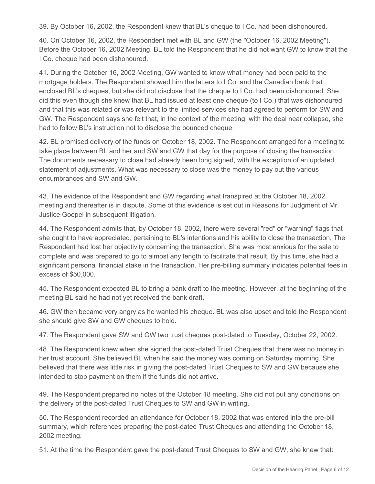39. By October 16, 2002, the Respondent knew that BL's cheque to I Co. had been dishonoured.

40. On October 16, 2002, the Respondent met with BL and GW (the "October 16, 2002 Meeting"). Before the October 16, 2002 Meeting, BL told the Respondent that he did not want GW to know that the I Co. cheque had been dishonoured.

41. During the October 16, 2002 Meeting, GW wanted to know what money had been paid to the mortgage holders. The Respondent showed him the letters to I Co. and the Canadian bank that enclosed BL's cheques, but she did not disclose that the cheque to I Co. had been dishonoured. She did this even though she knew that BL had issued at least one cheque (to I Co.) that was dishonoured and that this was related or was relevant to the limited services she had agreed to perform for SW and GW. The Respondent says she felt that, in the context of the meeting, with the deal near collapse, she had to follow BL's instruction not to disclose the bounced cheque.

42. BL promised delivery of the funds on October 18, 2002. The Respondent arranged for a meeting to take place between BL and her and SW and GW that day for the purpose of closing the transaction. The documents necessary to close had already been long signed, with the exception of an updated statement of adjustments. What was necessary to close was the money to pay out the various encumbrances and SW and GW.

43. The evidence of the Respondent and GW regarding what transpired at the October 18, 2002 meeting and thereafter is in dispute. Some of this evidence is set out in Reasons for Judgment of Mr. Justice Goepel in subsequent litigation.

44. The Respondent admits that, by October 18, 2002, there were several "red" or "warning" flags that she ought to have appreciated, pertaining to BL's intentions and his ability to close the transaction. The Respondent had lost her objectivity concerning the transaction. She was most anxious for the sale to complete and was prepared to go to almost any length to facilitate that result. By this time, she had a significant personal financial stake in the transaction. Her pre-billing summary indicates potential fees in excess of \$50,000.

45. The Respondent expected BL to bring a bank draft to the meeting. However, at the beginning of the meeting BL said he had not yet received the bank draft.

46. GW then became very angry as he wanted his cheque. BL was also upset and told the Respondent she should give SW and GW cheques to hold.

47. The Respondent gave SW and GW two trust cheques post-dated to Tuesday, October 22, 2002.

48. The Respondent knew when she signed the post-dated Trust Cheques that there was no money in her trust account. She believed BL when he said the money was coming on Saturday morning. She believed that there was little risk in giving the post-dated Trust Cheques to SW and GW because she intended to stop payment on them if the funds did not arrive.

49. The Respondent prepared no notes of the October 18 meeting. She did not put any conditions on the delivery of the post-dated Trust Cheques to SW and GW in writing.

50. The Respondent recorded an attendance for October 18, 2002 that was entered into the pre-bill summary, which references preparing the post-dated Trust Cheques and attending the October 18, 2002 meeting.

51. At the time the Respondent gave the post-dated Trust Cheques to SW and GW, she knew that: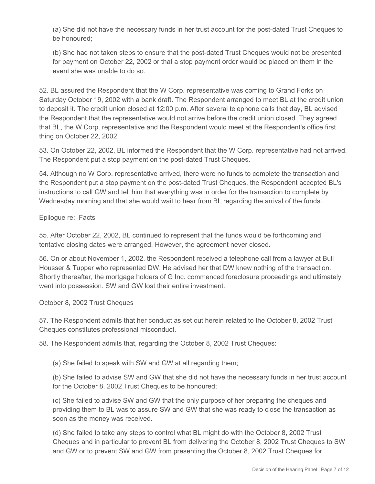(a) She did not have the necessary funds in her trust account for the post-dated Trust Cheques to be honoured;

(b) She had not taken steps to ensure that the post-dated Trust Cheques would not be presented for payment on October 22, 2002 or that a stop payment order would be placed on them in the event she was unable to do so.

52. BL assured the Respondent that the W Corp. representative was coming to Grand Forks on Saturday October 19, 2002 with a bank draft. The Respondent arranged to meet BL at the credit union to deposit it. The credit union closed at 12:00 p.m. After several telephone calls that day, BL advised the Respondent that the representative would not arrive before the credit union closed. They agreed that BL, the W Corp. representative and the Respondent would meet at the Respondent's office first thing on October 22, 2002.

53. On October 22, 2002, BL informed the Respondent that the W Corp. representative had not arrived. The Respondent put a stop payment on the post-dated Trust Cheques.

54. Although no W Corp. representative arrived, there were no funds to complete the transaction and the Respondent put a stop payment on the post-dated Trust Cheques, the Respondent accepted BL's instructions to call GW and tell him that everything was in order for the transaction to complete by Wednesday morning and that she would wait to hear from BL regarding the arrival of the funds.

Epilogue re: Facts

55. After October 22, 2002, BL continued to represent that the funds would be forthcoming and tentative closing dates were arranged. However, the agreement never closed.

56. On or about November 1, 2002, the Respondent received a telephone call from a lawyer at Bull Housser & Tupper who represented DW. He advised her that DW knew nothing of the transaction. Shortly thereafter, the mortgage holders of G Inc. commenced foreclosure proceedings and ultimately went into possession. SW and GW lost their entire investment.

October 8, 2002 Trust Cheques

57. The Respondent admits that her conduct as set out herein related to the October 8, 2002 Trust Cheques constitutes professional misconduct.

58. The Respondent admits that, regarding the October 8, 2002 Trust Cheques:

(a) She failed to speak with SW and GW at all regarding them;

(b) She failed to advise SW and GW that she did not have the necessary funds in her trust account for the October 8, 2002 Trust Cheques to be honoured;

(c) She failed to advise SW and GW that the only purpose of her preparing the cheques and providing them to BL was to assure SW and GW that she was ready to close the transaction as soon as the money was received.

(d) She failed to take any steps to control what BL might do with the October 8, 2002 Trust Cheques and in particular to prevent BL from delivering the October 8, 2002 Trust Cheques to SW and GW or to prevent SW and GW from presenting the October 8, 2002 Trust Cheques for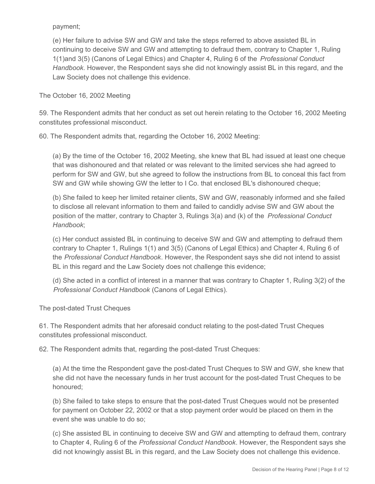payment;

(e) Her failure to advise SW and GW and take the steps referred to above assisted BL in continuing to deceive SW and GW and attempting to defraud them, contrary to Chapter 1, Ruling 1(1)and 3(5) (Canons of Legal Ethics) and Chapter 4, Ruling 6 of the *Professional Conduct Handbook*. However, the Respondent says she did not knowingly assist BL in this regard, and the Law Society does not challenge this evidence.

The October 16, 2002 Meeting

59. The Respondent admits that her conduct as set out herein relating to the October 16, 2002 Meeting constitutes professional misconduct.

60. The Respondent admits that, regarding the October 16, 2002 Meeting:

(a) By the time of the October 16, 2002 Meeting, she knew that BL had issued at least one cheque that was dishonoured and that related or was relevant to the limited services she had agreed to perform for SW and GW, but she agreed to follow the instructions from BL to conceal this fact from SW and GW while showing GW the letter to I Co. that enclosed BL's dishonoured cheque;

(b) She failed to keep her limited retainer clients, SW and GW, reasonably informed and she failed to disclose all relevant information to them and failed to candidly advise SW and GW about the position of the matter, contrary to Chapter 3, Rulings 3(a) and (k) of the *Professional Conduct Handbook*;

(c) Her conduct assisted BL in continuing to deceive SW and GW and attempting to defraud them contrary to Chapter 1, Rulings 1(1) and 3(5) (Canons of Legal Ethics) and Chapter 4, Ruling 6 of the *Professional Conduct Handbook*. However, the Respondent says she did not intend to assist BL in this regard and the Law Society does not challenge this evidence;

(d) She acted in a conflict of interest in a manner that was contrary to Chapter 1, Ruling 3(2) of the *Professional Conduct Handbook* (Canons of Legal Ethics).

The post-dated Trust Cheques

61. The Respondent admits that her aforesaid conduct relating to the post-dated Trust Cheques constitutes professional misconduct.

62. The Respondent admits that, regarding the post-dated Trust Cheques:

(a) At the time the Respondent gave the post-dated Trust Cheques to SW and GW, she knew that she did not have the necessary funds in her trust account for the post-dated Trust Cheques to be honoured;

(b) She failed to take steps to ensure that the post-dated Trust Cheques would not be presented for payment on October 22, 2002 or that a stop payment order would be placed on them in the event she was unable to do so;

(c) She assisted BL in continuing to deceive SW and GW and attempting to defraud them, contrary to Chapter 4, Ruling 6 of the *Professional Conduct Handbook*. However, the Respondent says she did not knowingly assist BL in this regard, and the Law Society does not challenge this evidence.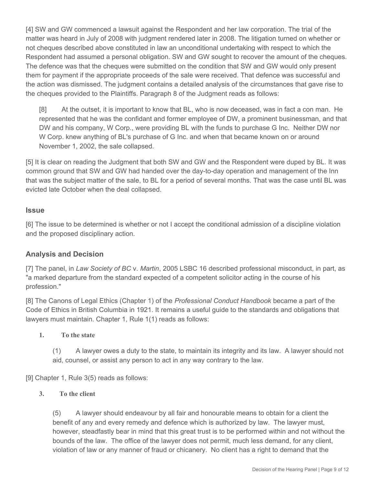[4] SW and GW commenced a lawsuit against the Respondent and her law corporation. The trial of the matter was heard in July of 2008 with judgment rendered later in 2008. The litigation turned on whether or not cheques described above constituted in law an unconditional undertaking with respect to which the Respondent had assumed a personal obligation. SW and GW sought to recover the amount of the cheques. The defence was that the cheques were submitted on the condition that SW and GW would only present them for payment if the appropriate proceeds of the sale were received. That defence was successful and the action was dismissed. The judgment contains a detailed analysis of the circumstances that gave rise to the cheques provided to the Plaintiffs. Paragraph 8 of the Judgment reads as follows:

[8] At the outset, it is important to know that BL, who is now deceased, was in fact a con man. He represented that he was the confidant and former employee of DW, a prominent businessman, and that DW and his company, W Corp., were providing BL with the funds to purchase G Inc. Neither DW nor W Corp. knew anything of BL's purchase of G Inc. and when that became known on or around November 1, 2002, the sale collapsed.

[5] It is clear on reading the Judgment that both SW and GW and the Respondent were duped by BL. It was common ground that SW and GW had handed over the day-to-day operation and management of the Inn that was the subject matter of the sale, to BL for a period of several months. That was the case until BL was evicted late October when the deal collapsed.

#### **Issue**

[6] The issue to be determined is whether or not I accept the conditional admission of a discipline violation and the proposed disciplinary action.

### **Analysis and Decision**

[7] The panel, in *Law Society of BC* v. *Martin*, 2005 LSBC 16 described professional misconduct, in part, as "a marked departure from the standard expected of a competent solicitor acting in the course of his profession."

[8] The Canons of Legal Ethics (Chapter 1) of the *Professional Conduct Handbook* became a part of the Code of Ethics in British Columbia in 1921. It remains a useful guide to the standards and obligations that lawyers must maintain. Chapter 1, Rule 1(1) reads as follows:

#### **1. To the state**

(1) A lawyer owes a duty to the state, to maintain its integrity and its law. A lawyer should not aid, counsel, or assist any person to act in any way contrary to the law.

[9] Chapter 1, Rule 3(5) reads as follows:

#### **3. To the client**

(5) A lawyer should endeavour by all fair and honourable means to obtain for a client the benefit of any and every remedy and defence which is authorized by law. The lawyer must, however, steadfastly bear in mind that this great trust is to be performed within and not without the bounds of the law. The office of the lawyer does not permit, much less demand, for any client, violation of law or any manner of fraud or chicanery. No client has a right to demand that the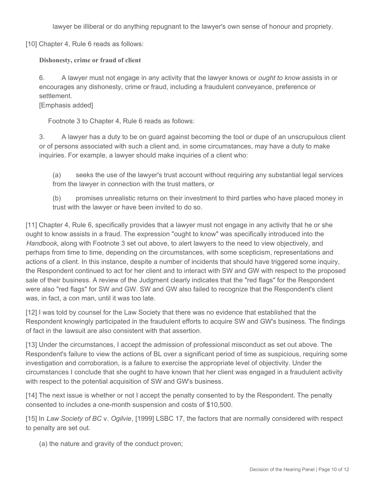lawyer be illiberal or do anything repugnant to the lawyer's own sense of honour and propriety.

[10] Chapter 4, Rule 6 reads as follows:

**Dishonesty, crime or fraud of client**

6. A lawyer must not engage in any activity that the lawyer knows or *ought to know* assists in or encourages any dishonesty, crime or fraud, including a fraudulent conveyance, preference or settlement.

### [Emphasis added]

Footnote 3 to Chapter 4, Rule 6 reads as follows:

3. A lawyer has a duty to be on guard against becoming the tool or dupe of an unscrupulous client or of persons associated with such a client and, in some circumstances, may have a duty to make inquiries. For example, a lawyer should make inquiries of a client who:

(a) seeks the use of the lawyer's trust account without requiring any substantial legal services from the lawyer in connection with the trust matters, or

(b) promises unrealistic returns on their investment to third parties who have placed money in trust with the lawyer or have been invited to do so.

[11] Chapter 4, Rule 6, specifically provides that a lawyer must not engage in any activity that he or she ought to know assists in a fraud. The expression "ought to know" was specifically introduced into the *Handbook*, along with Footnote 3 set out above, to alert lawyers to the need to view objectively, and perhaps from time to time, depending on the circumstances, with some scepticism, representations and actions of a client. In this instance, despite a number of incidents that should have triggered some inquiry, the Respondent continued to act for her client and to interact with SW and GW with respect to the proposed sale of their business. A review of the Judgment clearly indicates that the "red flags" for the Respondent were also "red flags" for SW and GW. SW and GW also failed to recognize that the Respondent's client was, in fact, a con man, until it was too late.

[12] I was told by counsel for the Law Society that there was no evidence that established that the Respondent knowingly participated in the fraudulent efforts to acquire SW and GW's business. The findings of fact in the lawsuit are also consistent with that assertion.

[13] Under the circumstances, I accept the admission of professional misconduct as set out above. The Respondent's failure to view the actions of BL over a significant period of time as suspicious, requiring some investigation and corroboration, is a failure to exercise the appropriate level of objectivity. Under the circumstances I conclude that she ought to have known that her client was engaged in a fraudulent activity with respect to the potential acquisition of SW and GW's business.

[14] The next issue is whether or not I accept the penalty consented to by the Respondent. The penalty consented to includes a one-month suspension and costs of \$10,500.

[15] In *Law Society of BC* v. *Ogilvie*, [1999] LSBC 17, the factors that are normally considered with respect to penalty are set out.

(a) the nature and gravity of the conduct proven;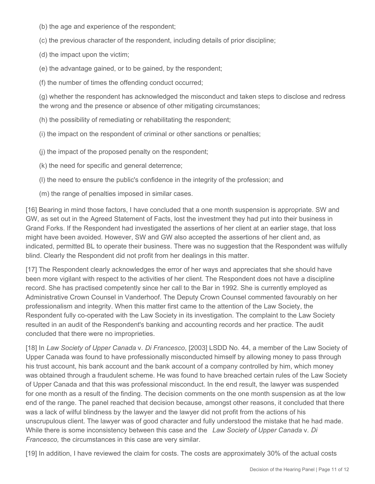(b) the age and experience of the respondent;

(c) the previous character of the respondent, including details of prior discipline;

(d) the impact upon the victim;

(e) the advantage gained, or to be gained, by the respondent;

(f) the number of times the offending conduct occurred;

(g) whether the respondent has acknowledged the misconduct and taken steps to disclose and redress the wrong and the presence or absence of other mitigating circumstances;

(h) the possibility of remediating or rehabilitating the respondent;

(i) the impact on the respondent of criminal or other sanctions or penalties;

(j) the impact of the proposed penalty on the respondent;

(k) the need for specific and general deterrence;

(l) the need to ensure the public's confidence in the integrity of the profession; and

(m) the range of penalties imposed in similar cases.

[16] Bearing in mind those factors, I have concluded that a one month suspension is appropriate. SW and GW, as set out in the Agreed Statement of Facts, lost the investment they had put into their business in Grand Forks. If the Respondent had investigated the assertions of her client at an earlier stage, that loss might have been avoided. However, SW and GW also accepted the assertions of her client and, as indicated, permitted BL to operate their business. There was no suggestion that the Respondent was wilfully blind. Clearly the Respondent did not profit from her dealings in this matter.

[17] The Respondent clearly acknowledges the error of her ways and appreciates that she should have been more vigilant with respect to the activities of her client. The Respondent does not have a discipline record. She has practised competently since her call to the Bar in 1992. She is currently employed as Administrative Crown Counsel in Vanderhoof. The Deputy Crown Counsel commented favourably on her professionalism and integrity. When this matter first came to the attention of the Law Society, the Respondent fully co-operated with the Law Society in its investigation. The complaint to the Law Society resulted in an audit of the Respondent's banking and accounting records and her practice. The audit concluded that there were no improprieties.

[18] In *Law Society of Upper Canada* v. *Di Francesco*, [2003] LSDD No. 44, a member of the Law Society of Upper Canada was found to have professionally misconducted himself by allowing money to pass through his trust account, his bank account and the bank account of a company controlled by him, which money was obtained through a fraudulent scheme. He was found to have breached certain rules of the Law Society of Upper Canada and that this was professional misconduct. In the end result, the lawyer was suspended for one month as a result of the finding. The decision comments on the one month suspension as at the low end of the range. The panel reached that decision because, amongst other reasons, it concluded that there was a lack of wilful blindness by the lawyer and the lawyer did not profit from the actions of his unscrupulous client. The lawyer was of good character and fully understood the mistake that he had made. While there is some inconsistency between this case and the *Law Society of Upper Canada* v. *Di Francesco,* the circumstances in this case are very similar.

[19] In addition, I have reviewed the claim for costs. The costs are approximately 30% of the actual costs